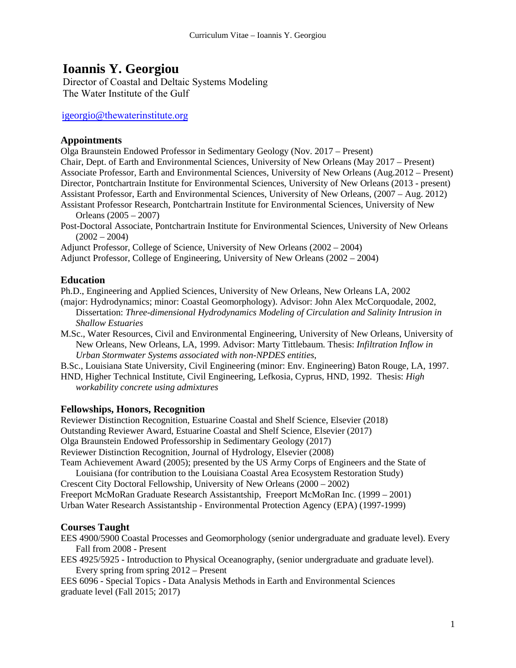# **Ioannis Y. Georgiou**

Director of Coastal and Deltaic Systems M[odeling](mailto:igeorgio@uno.edu) The Water Institute of the Gulf

igeorgio@thewaterinstitute.org

### **Appointments**

Olga Braunstein Endowed Professor in Sedimentary Geology (Nov. 2017 – Present)

Chair, Dept. of Earth and Environmental Sciences, University of New Orleans (May 2017 – Present) Associate Professor, Earth and Environmental Sciences, University of New Orleans (Aug.2012 – Present) Director, Pontchartrain Institute for Environmental Sciences, University of New Orleans (2013 - present) Assistant Professor, Earth and Environmental Sciences, University of New Orleans, (2007 – Aug. 2012) Assistant Professor Research, Pontchartrain Institute for Environmental Sciences, University of New

Orleans (2005 – 2007)

Post-Doctoral Associate, Pontchartrain Institute for Environmental Sciences, University of New Orleans  $(2002 - 2004)$ 

Adjunct Professor, College of Science, University of New Orleans (2002 – 2004)

Adjunct Professor, College of Engineering, University of New Orleans (2002 – 2004)

## **Education**

Ph.D., Engineering and Applied Sciences, University of New Orleans, New Orleans LA, 2002

- (major: Hydrodynamics; minor: Coastal Geomorphology). Advisor: John Alex McCorquodale, 2002, Dissertation: *Three-dimensional Hydrodynamics Modeling of Circulation and Salinity Intrusion in Shallow Estuaries*
- M.Sc., Water Resources, Civil and Environmental Engineering, University of New Orleans, University of New Orleans, New Orleans, LA, 1999. Advisor: Marty Tittlebaum. Thesis: *Infiltration Inflow in Urban Stormwater Systems associated with non-NPDES entities*,

B.Sc., Louisiana State University, Civil Engineering (minor: Env. Engineering) Baton Rouge, LA, 1997.

HND, Higher Technical Institute, Civil Engineering, Lefkosia, Cyprus, HND, 1992. Thesis: *High workability concrete using admixtures*

## **Fellowships, Honors, Recognition**

Reviewer Distinction Recognition, Estuarine Coastal and Shelf Science, Elsevier (2018) Outstanding Reviewer Award, Estuarine Coastal and Shelf Science, Elsevier (2017) Olga Braunstein Endowed Professorship in Sedimentary Geology (2017) Reviewer Distinction Recognition, Journal of Hydrology, Elsevier (2008) Team Achievement Award (2005); presented by the US Army Corps of Engineers and the State of

Louisiana (for contribution to the Louisiana Coastal Area Ecosystem Restoration Study) Crescent City Doctoral Fellowship, University of New Orleans (2000 – 2002) Freeport McMoRan Graduate Research Assistantship, Freeport McMoRan Inc. (1999 – 2001) Urban Water Research Assistantship - Environmental Protection Agency (EPA) (1997-1999)

## **Courses Taught**

EES 4900/5900 Coastal Processes and Geomorphology (senior undergraduate and graduate level). Every Fall from 2008 - Present

EES 4925/5925 - Introduction to Physical Oceanography, (senior undergraduate and graduate level). Every spring from spring 2012 – Present

EES 6096 - Special Topics - Data Analysis Methods in Earth and Environmental Sciences graduate level (Fall 2015; 2017)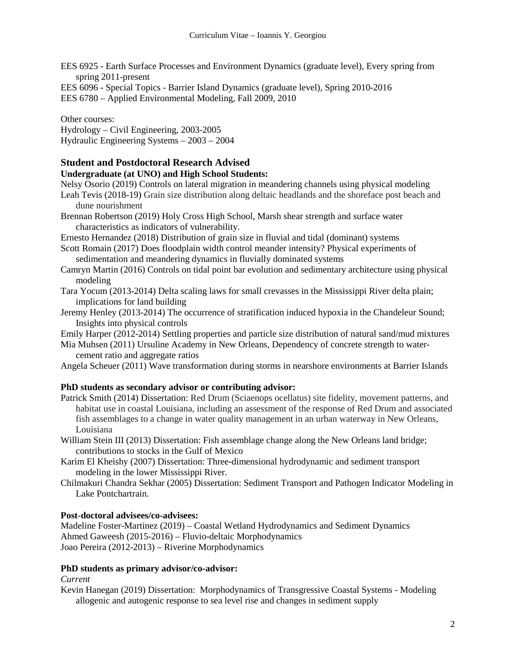EES 6925 - Earth Surface Processes and Environment Dynamics (graduate level), Every spring from spring 2011-present

EES 6096 - Special Topics - Barrier Island Dynamics (graduate level), Spring 2010-2016

EES 6780 – Applied Environmental Modeling, Fall 2009, 2010

Other courses: Hydrology – Civil Engineering, 2003-2005 Hydraulic Engineering Systems – 2003 – 2004

## **Student and Postdoctoral Research Advised**

## **Undergraduate (at UNO) and High School Students:**

Nelsy Osorio (2019) Controls on lateral migration in meandering channels using physical modeling

- Leah Tevis (2018-19) Grain size distribution along deltaic headlands and the shoreface post beach and dune nourishment
- Brennan Robertson (2019) Holy Cross High School, Marsh shear strength and surface water characteristics as indicators of vulnerability.

Ernesto Hernandez (2018) Distribution of grain size in fluvial and tidal (dominant) systems

- Scott Romain (2017) Does floodplain width control meander intensity? Physical experiments of sedimentation and meandering dynamics in fluvially dominated systems
- Camryn Martin (2016) Controls on tidal point bar evolution and sedimentary architecture using physical modeling
- Tara Yocum (2013-2014) Delta scaling laws for small crevasses in the Mississippi River delta plain; implications for land building
- Jeremy Henley (2013-2014) The occurrence of stratification induced hypoxia in the Chandeleur Sound; Insights into physical controls

Emily Harper (2012-2014) Settling properties and particle size distribution of natural sand/mud mixtures

Mia Muhsen (2011) Ursuline Academy in New Orleans, Dependency of concrete strength to watercement ratio and aggregate ratios

Angela Scheuer (2011) Wave transformation during storms in nearshore environments at Barrier Islands

## **PhD students as secondary advisor or contributing advisor:**

Patrick Smith (2014) Dissertation: Red Drum (Sciaenops ocellatus) site fidelity, movement patterns, and habitat use in coastal Louisiana, including an assessment of the response of Red Drum and associated fish assemblages to a change in water quality management in an urban waterway in New Orleans, Louisiana

William Stein III (2013) Dissertation: Fish assemblage change along the New Orleans land bridge; contributions to stocks in the Gulf of Mexico

- Karim El Kheishy (2007) Dissertation: Three-dimensional hydrodynamic and sediment transport modeling in the lower Mississippi River.
- Chilmakuri Chandra Sekhar (2005) Dissertation: Sediment Transport and Pathogen Indicator Modeling in Lake Pontchartrain.

## **Post-doctoral advisees/co-advisees:**

Madeline Foster-Martinez (2019) – Coastal Wetland Hydrodynamics and Sediment Dynamics Ahmed Gaweesh (2015-2016) – Fluvio-deltaic Morphodynamics Joao Pereira (2012-2013) – Riverine Morphodynamics

## **PhD students as primary advisor/co-advisor:**

## *Current*

Kevin Hanegan (2019) Dissertation: Morphodynamics of Transgressive Coastal Systems - Modeling allogenic and autogenic response to sea level rise and changes in sediment supply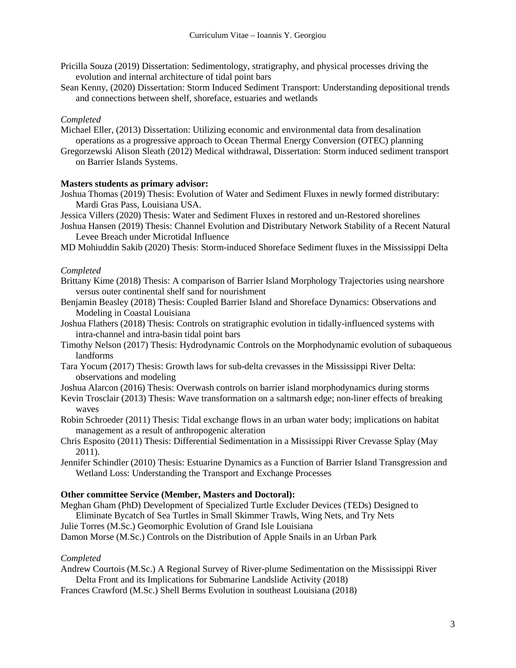- Pricilla Souza (2019) Dissertation: Sedimentology, stratigraphy, and physical processes driving the evolution and internal architecture of tidal point bars
- Sean Kenny, (2020) Dissertation: Storm Induced Sediment Transport: Understanding depositional trends and connections between shelf, shoreface, estuaries and wetlands

#### *Completed*

- Michael Eller, (2013) Dissertation: Utilizing economic and environmental data from desalination operations as a progressive approach to Ocean Thermal Energy Conversion (OTEC) planning
- Gregorzewski Alison Sleath (2012) Medical withdrawal, Dissertation: Storm induced sediment transport on Barrier Islands Systems.

#### **Masters students as primary advisor:**

- Joshua Thomas (2019) Thesis: Evolution of Water and Sediment Fluxes in newly formed distributary: Mardi Gras Pass, Louisiana USA.
- Jessica Villers (2020) Thesis: Water and Sediment Fluxes in restored and un-Restored shorelines
- Joshua Hansen (2019) Thesis: Channel Evolution and Distributary Network Stability of a Recent Natural Levee Breach under Microtidal Influence
- MD Mohiuddin Sakib (2020) Thesis: Storm-induced Shoreface Sediment fluxes in the Mississippi Delta

#### *Completed*

- Brittany Kime (2018) Thesis: A comparison of Barrier Island Morphology Trajectories using nearshore versus outer continental shelf sand for nourishment
- Benjamin Beasley (2018) Thesis: Coupled Barrier Island and Shoreface Dynamics: Observations and Modeling in Coastal Louisiana
- Joshua Flathers (2018) Thesis: Controls on stratigraphic evolution in tidally-influenced systems with intra-channel and intra-basin tidal point bars
- Timothy Nelson (2017) Thesis: Hydrodynamic Controls on the Morphodynamic evolution of subaqueous landforms
- Tara Yocum (2017) Thesis: Growth laws for sub-delta crevasses in the Mississippi River Delta: observations and modeling
- Joshua Alarcon (2016) Thesis: Overwash controls on barrier island morphodynamics during storms
- Kevin Trosclair (2013) Thesis: Wave transformation on a saltmarsh edge; non-liner effects of breaking waves
- Robin Schroeder (2011) Thesis: Tidal exchange flows in an urban water body; implications on habitat management as a result of anthropogenic alteration
- Chris Esposito (2011) Thesis: Differential Sedimentation in a Mississippi River Crevasse Splay (May 2011).
- Jennifer Schindler (2010) Thesis: Estuarine Dynamics as a Function of Barrier Island Transgression and Wetland Loss: Understanding the Transport and Exchange Processes

#### **Other committee Service (Member, Masters and Doctoral):**

- Meghan Gham (PhD) Development of Specialized Turtle Excluder Devices (TEDs) Designed to
- Eliminate Bycatch of Sea Turtles in Small Skimmer Trawls, Wing Nets, and Try Nets
- Julie Torres (M.Sc.) Geomorphic Evolution of Grand Isle Louisiana

Damon Morse (M.Sc.) Controls on the Distribution of Apple Snails in an Urban Park

#### *Completed*

Andrew Courtois (M.Sc.) A Regional Survey of River-plume Sedimentation on the Mississippi River Delta Front and its Implications for Submarine Landslide Activity (2018)

Frances Crawford (M.Sc.) Shell Berms Evolution in southeast Louisiana (2018)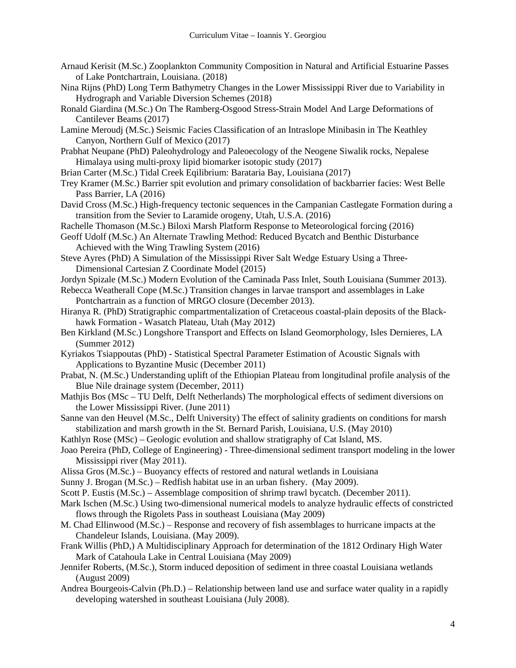- Arnaud Kerisit (M.Sc.) Zooplankton Community Composition in Natural and Artificial Estuarine Passes of Lake Pontchartrain, Louisiana. (2018)
- Nina Rijns (PhD) Long Term Bathymetry Changes in the Lower Mississippi River due to Variability in Hydrograph and Variable Diversion Schemes (2018)
- Ronald Giardina (M.Sc.) On The Ramberg-Osgood Stress-Strain Model And Large Deformations of Cantilever Beams (2017)
- Lamine Meroudj (M.Sc.) Seismic Facies Classification of an Intraslope Minibasin in The Keathley Canyon, Northern Gulf of Mexico (2017)
- Prabhat Neupane (PhD) Paleohydrology and Paleoecology of the Neogene Siwalik rocks, Nepalese Himalaya using multi-proxy lipid biomarker isotopic study (2017)
- Brian Carter (M.Sc.) Tidal Creek Eqilibrium: Barataria Bay, Louisiana (2017)
- Trey Kramer (M.Sc.) Barrier spit evolution and primary consolidation of backbarrier facies: West Belle Pass Barrier, LA (2016)
- David Cross (M.Sc.) High-frequency tectonic sequences in the Campanian Castlegate Formation during a transition from the Sevier to Laramide orogeny, Utah, U.S.A. (2016)
- Rachelle Thomason (M.Sc.) Biloxi Marsh Platform Response to Meteorological forcing (2016)
- Geoff Udolf (M.Sc.) An Alternate Trawling Method: Reduced Bycatch and Benthic Disturbance Achieved with the Wing Trawling System (2016)
- Steve Ayres (PhD) A Simulation of the Mississippi River Salt Wedge Estuary Using a Three-Dimensional Cartesian Z Coordinate Model (2015)
- Jordyn Spizale (M.Sc.) Modern Evolution of the Caminada Pass Inlet, South Louisiana (Summer 2013).
- Rebecca Weatherall Cope (M.Sc.) Transition changes in larvae transport and assemblages in Lake Pontchartrain as a function of MRGO closure (December 2013).
- Hiranya R. (PhD) Stratigraphic compartmentalization of Cretaceous coastal-plain deposits of the Blackhawk Formation - Wasatch Plateau, Utah (May 2012)
- Ben Kirkland (M.Sc.) Longshore Transport and Effects on Island Geomorphology, Isles Dernieres, LA (Summer 2012)
- Kyriakos Tsiappoutas (PhD) Statistical Spectral Parameter Estimation of Acoustic Signals with Applications to Byzantine Music (December 2011)
- Prabat, N. (M.Sc.) Understanding uplift of the Ethiopian Plateau from longitudinal profile analysis of the Blue Nile drainage system (December, 2011)
- Mathjis Bos (MSc TU Delft, Delft Netherlands) The morphological effects of sediment diversions on the Lower Mississippi River. (June 2011)
- Sanne van den Heuvel (M.Sc., Delft University) The effect of salinity gradients on conditions for marsh stabilization and marsh growth in the St. Bernard Parish, Louisiana, U.S. (May 2010)
- Kathlyn Rose (MSc) Geologic evolution and shallow stratigraphy of Cat Island, MS.
- Joao Pereira (PhD, College of Engineering) Three-dimensional sediment transport modeling in the lower Mississippi river (May 2011).
- Alissa Gros (M.Sc.) Buoyancy effects of restored and natural wetlands in Louisiana
- Sunny J. Brogan (M.Sc.) Redfish habitat use in an urban fishery. (May 2009).
- Scott P. Eustis (M.Sc.) Assemblage composition of shrimp trawl bycatch. (December 2011).
- Mark Ischen (M.Sc.) Using two-dimensional numerical models to analyze hydraulic effects of constricted flows through the Rigolets Pass in southeast Louisiana (May 2009)
- M. Chad Ellinwood (M.Sc.) Response and recovery of fish assemblages to hurricane impacts at the Chandeleur Islands, Louisiana. (May 2009).
- Frank Willis (PhD,) A Multidisciplinary Approach for determination of the 1812 Ordinary High Water Mark of Catahoula Lake in Central Louisiana (May 2009)
- Jennifer Roberts, (M.Sc.), Storm induced deposition of sediment in three coastal Louisiana wetlands (August 2009)
- Andrea Bourgeois-Calvin (Ph.D.) Relationship between land use and surface water quality in a rapidly developing watershed in southeast Louisiana (July 2008).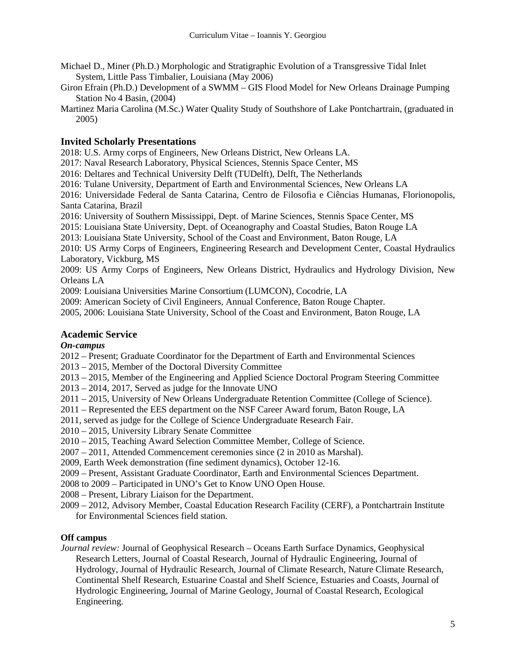- Michael D., Miner (Ph.D.) Morphologic and Stratigraphic Evolution of a Transgressive Tidal Inlet System, Little Pass Timbalier, Louisiana (May 2006)
- Giron Efrain (Ph.D.) Development of a SWMM GIS Flood Model for New Orleans Drainage Pumping Station No 4 Basin, (2004)
- Martinez Maria Carolina (M.Sc.) Water Quality Study of Southshore of Lake Pontchartrain, (graduated in 2005)

## **Invited Scholarly Presentations**

2018: U.S. Army corps of Engineers, New Orleans District, New Orleans LA.

2017: Naval Research Laboratory, Physical Sciences, Stennis Space Center, MS

2016: Deltares and Technical University Delft (TUDelft), Delft, The Netherlands

2016: Tulane University, Department of Earth and Environmental Sciences, New Orleans LA

2016: Universidade Federal de Santa Catarina, Centro de Filosofia e Ciências Humanas, Florionopolis, Santa Catarina, Brazil

2016: University of Southern Mississippi, Dept. of Marine Sciences, Stennis Space Center, MS

2015: Louisiana State University, Dept. of Oceanography and Coastal Studies, Baton Rouge LA

2013: Louisiana State University, School of the Coast and Environment, Baton Rouge, LA

2010: US Army Corps of Engineers, Engineering Research and Development Center, Coastal Hydraulics Laboratory, Vickburg, MS

2009: US Army Corps of Engineers, New Orleans District, Hydraulics and Hydrology Division, New Orleans LA

2009: Louisiana Universities Marine Consortium (LUMCON), Cocodrie, LA

2009: American Society of Civil Engineers, Annual Conference, Baton Rouge Chapter.

2005, 2006: Louisiana State University, School of the Coast and Environment, Baton Rouge, LA

## **Academic Service**

## *On-campus*

2012 – Present; Graduate Coordinator for the Department of Earth and Environmental Sciences

2013 – 2015, Member of the Doctoral Diversity Committee

- 2013 2015, Member of the Engineering and Applied Science Doctoral Program Steering Committee
- 2013 2014, 2017, Served as judge for the Innovate UNO
- 2011 2015, University of New Orleans Undergraduate Retention Committee (College of Science).
- 2011 Represented the EES department on the NSF Career Award forum, Baton Rouge, LA
- 2011, served as judge for the College of Science Undergraduate Research Fair.
- 2010 2015, University Library Senate Committee

2010 – 2015, Teaching Award Selection Committee Member, College of Science.

2007 – 2011, Attended Commencement ceremonies since (2 in 2010 as Marshal).

2009, Earth Week demonstration (fine sediment dynamics), October 12-16.

2009 – Present, Assistant Graduate Coordinator, Earth and Environmental Sciences Department.

2008 to 2009 – Participated in UNO's Get to Know UNO Open House.

2008 – Present, Library Liaison for the Department.

2009 – 2012, Advisory Member, Coastal Education Research Facility (CERF), a Pontchartrain Institute for Environmental Sciences field station.

## **Off campus**

*Journal review:* Journal of Geophysical Research – Oceans Earth Surface Dynamics, Geophysical Research Letters, Journal of Coastal Research, Journal of Hydraulic Engineering, Journal of Hydrology, Journal of Hydraulic Research, Journal of Climate Research, Nature Climate Research, Continental Shelf Research, Estuarine Coastal and Shelf Science, Estuaries and Coasts, Journal of Hydrologic Engineering, Journal of Marine Geology, Journal of Coastal Research, Ecological Engineering.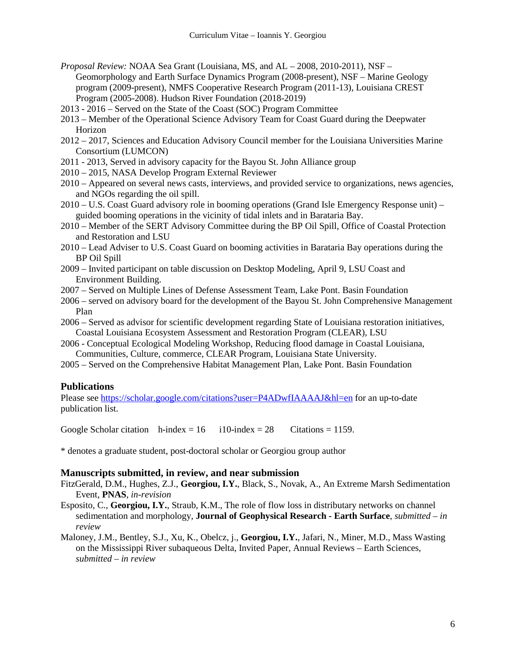- *Proposal Review:* NOAA Sea Grant (Louisiana, MS, and AL 2008, 2010-2011), NSF Geomorphology and Earth Surface Dynamics Program (2008-present), NSF – Marine Geology program (2009-present), NMFS Cooperative Research Program (2011-13), Louisiana CREST Program (2005-2008). Hudson River Foundation (2018-2019)
- 2013 2016 Served on the State of the Coast (SOC) Program Committee
- 2013 Member of the Operational Science Advisory Team for Coast Guard during the Deepwater Horizon
- 2012 2017, Sciences and Education Advisory Council member for the Louisiana Universities Marine Consortium (LUMCON)
- 2011 2013, Served in advisory capacity for the Bayou St. John Alliance group
- 2010 2015, NASA Develop Program External Reviewer
- 2010 Appeared on several news casts, interviews, and provided service to organizations, news agencies, and NGOs regarding the oil spill.
- 2010 U.S. Coast Guard advisory role in booming operations (Grand Isle Emergency Response unit) guided booming operations in the vicinity of tidal inlets and in Barataria Bay.
- 2010 Member of the SERT Advisory Committee during the BP Oil Spill, Office of Coastal Protection and Restoration and LSU
- 2010 Lead Adviser to U.S. Coast Guard on booming activities in Barataria Bay operations during the BP Oil Spill
- 2009 Invited participant on table discussion on Desktop Modeling, April 9, LSU Coast and Environment Building.
- 2007 Served on Multiple Lines of Defense Assessment Team, Lake Pont. Basin Foundation
- 2006 served on advisory board for the development of the Bayou St. John Comprehensive Management Plan
- 2006 Served as advisor for scientific development regarding State of Louisiana restoration initiatives, Coastal Louisiana Ecosystem Assessment and Restoration Program (CLEAR), LSU
- 2006 Conceptual Ecological Modeling Workshop, Reducing flood damage in Coastal Louisiana, Communities, Culture, commerce, CLEAR Program, Louisiana State University.
- 2005 Served on the Comprehensive Habitat Management Plan, Lake Pont. Basin Foundation

#### **Publications**

Please see<https://scholar.google.com/citations?user=P4ADwfIAAAAJ&hl=en> for an up-to-date publication list.

Google Scholar citation  $h$ -index = 16 i10-index = 28 Citations = 1159.

\* denotes a graduate student, post-doctoral scholar or Georgiou group author

#### **Manuscripts submitted, in review, and near submission**

- FitzGerald, D.M., Hughes, Z.J., **Georgiou, I.Y.**, Black, S., Novak, A., An Extreme Marsh Sedimentation Event, **PNAS**, *in-revision*
- Esposito, C., **Georgiou, I.Y.**, Straub, K.M., The role of flow loss in distributary networks on channel sedimentation and morphology, **Journal of Geophysical Research - Earth Surface**, *submitted – in review*
- Maloney, J.M., Bentley, S.J., Xu, K., Obelcz, j., **Georgiou, I.Y.**, Jafari, N., Miner, M.D., Mass Wasting on the Mississippi River subaqueous Delta, Invited Paper, Annual Reviews – Earth Sciences, *submitted – in review*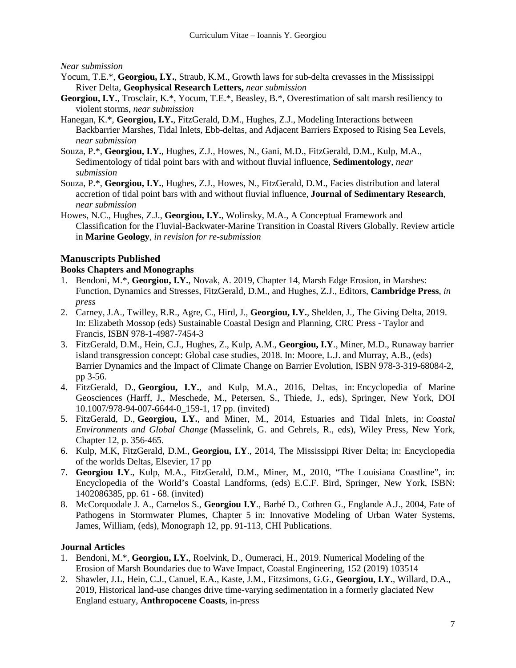#### *Near submission*

- Yocum, T.E.<sup>\*</sup>, Georgiou, I.Y., Straub, K.M., Growth laws for sub-delta crevasses in the Mississippi River Delta, **Geophysical Research Letters,** *near submission*
- **Georgiou, I.Y.**, Trosclair, K.\*, Yocum, T.E.\*, Beasley, B.\*, Overestimation of salt marsh resiliency to violent storms, *near submission*
- Hanegan, K.\*, **Georgiou, I.Y.**, FitzGerald, D.M., Hughes, Z.J., Modeling Interactions between Backbarrier Marshes, Tidal Inlets, Ebb-deltas, and Adjacent Barriers Exposed to Rising Sea Levels, *near submission*
- Souza, P.\*, **Georgiou, I.Y.**, Hughes, Z.J., Howes, N., Gani, M.D., FitzGerald, D.M., Kulp, M.A., Sedimentology of tidal point bars with and without fluvial influence, **Sedimentology**, *near submission*
- Souza, P.\*, **Georgiou, I.Y.**, Hughes, Z.J., Howes, N., FitzGerald, D.M., Facies distribution and lateral accretion of tidal point bars with and without fluvial influence, **Journal of Sedimentary Research**, *near submission*
- Howes, N.C., Hughes, Z.J., **Georgiou, I.Y.**, Wolinsky, M.A., A Conceptual Framework and Classification for the Fluvial-Backwater-Marine Transition in Coastal Rivers Globally. Review article in **Marine Geology**, *in revision for re-submission*

## **Manuscripts Published**

### **Books Chapters and Monographs**

- 1. Bendoni, M.\*, **Georgiou, I.Y.**, Novak, A. 2019, Chapter 14, Marsh Edge Erosion, in Marshes: Function, Dynamics and Stresses, FitzGerald, D.M., and Hughes, Z.J., Editors, **Cambridge Press**, *in press*
- 2. Carney, J.A., Twilley, R.R., Agre, C., Hird, J., **Georgiou, I.Y.**, Shelden, J., The Giving Delta, 2019. In: Elizabeth Mossop (eds) Sustainable Coastal Design and Planning, CRC Press - Taylor and Francis, ISBN 978-1-4987-7454-3
- 3. FitzGerald, D.M., Hein, C.J., Hughes, Z., Kulp, A.M., **Georgiou, I.Y**., Miner, M.D., Runaway barrier island transgression concept: Global case studies, 2018. In: Moore, L.J. and Murray, A.B., (eds) Barrier Dynamics and the Impact of Climate Change on Barrier Evolution, ISBN 978-3-319-68084-2, pp 3-56.
- 4. FitzGerald, D., **Georgiou, I.Y.**, and Kulp, M.A., 2016, Deltas, in: Encyclopedia of Marine Geosciences (Harff, J., Meschede, M., Petersen, S., Thiede, J., eds), Springer, New York, DOI 10.1007/978-94-007-6644-0\_159-1, 17 pp. (invited)
- 5. FitzGerald, D., **Georgiou, I.Y.**, and Miner, M., 2014, Estuaries and Tidal Inlets, in: *Coastal Environments and Global Change* (Masselink, G. and Gehrels, R., eds), Wiley Press, New York, Chapter 12, p. 356-465.
- 6. Kulp, M.K, FitzGerald, D.M., **Georgiou, I.Y**., 2014, The Mississippi River Delta; in: Encyclopedia of the worlds Deltas, Elsevier, 17 pp
- 7. **Georgiou I.Y**., Kulp, M.A., FitzGerald, D.M., Miner, M., 2010, "The Louisiana Coastline", in: Encyclopedia of the World's Coastal Landforms, (eds) E.C.F. Bird, Springer, New York, ISBN: 1402086385, pp. 61 - 68. (invited)
- 8. McCorquodale J. A., Carnelos S., **Georgiou I.Y**., Barbé D., Cothren G., Englande A.J., 2004, Fate of Pathogens in Stormwater Plumes, Chapter 5 in: Innovative Modeling of Urban Water Systems, James, William, (eds), Monograph 12, pp. 91-113, CHI Publications.

## **Journal Articles**

- 1. Bendoni, M.\*, **Georgiou, I.Y.**, Roelvink, D., Oumeraci, H., 2019. Numerical Modeling of the Erosion of Marsh Boundaries due to Wave Impact, Coastal Engineering, 152 (2019) 103514
- 2. Shawler, J.L, Hein, C.J., Canuel, E.A., Kaste, J.M., Fitzsimons, G.G., **Georgiou, I.Y.**, Willard, D.A., 2019, Historical land-use changes drive time-varying sedimentation in a formerly glaciated New England estuary, **Anthropocene Coasts**, in-press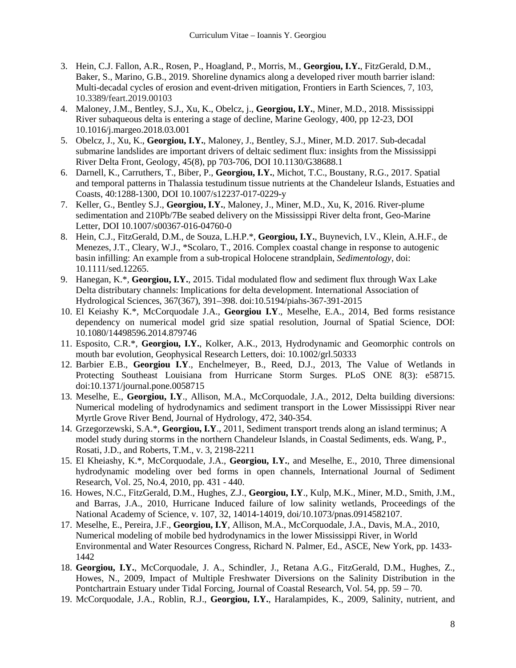- 3. Hein, C.J. Fallon, A.R., Rosen, P., Hoagland, P., Morris, M., **Georgiou, I.Y.**, FitzGerald, D.M., Baker, S., Marino, G.B., 2019. Shoreline dynamics along a developed river mouth barrier island: Multi-decadal cycles of erosion and event-driven mitigation, Frontiers in Earth Sciences, 7, 103, 10.3389/feart.2019.00103
- 4. Maloney, J.M., Bentley, S.J., Xu, K., Obelcz, j., **Georgiou, I.Y.**, Miner, M.D., 2018. Mississippi River subaqueous delta is entering a stage of decline, Marine Geology, 400, pp 12-23, DOI 10.1016/j.margeo.2018.03.001
- 5. Obelcz, J., Xu, K., **Georgiou, I.Y.**, Maloney, J., Bentley, S.J., Miner, M.D. 2017. Sub-decadal submarine landslides are important drivers of deltaic sediment flux: insights from the Mississippi River Delta Front, Geology, 45(8), pp 703-706, DOI 10.1130/G38688.1
- 6. Darnell, K., Carruthers, T., Biber, P., **Georgiou, I.Y.**, Michot, T.C., Boustany, R.G., 2017. Spatial and temporal patterns in Thalassia testudinum tissue nutrients at the Chandeleur Islands, Estuaties and Coasts, 40:1288-1300, DOI 10.1007/s12237-017-0229-y
- 7. Keller, G., Bentley S.J., **Georgiou, I.Y.**, Maloney, J., Miner, M.D., Xu, K, 2016. River-plume sedimentation and 210Pb/7Be seabed delivery on the Mississippi River delta front, Geo-Marine Letter, DOI 10.1007/s00367-016-04760-0
- 8. Hein, C.J., FitzGerald, D.M., de Souza, L.H.P.\*, **Georgiou, I.Y.**, Buynevich, I.V., Klein, A.H.F., de Menezes, J.T., Cleary, W.J., \*Scolaro, T., 2016. Complex coastal change in response to autogenic basin infilling: An example from a sub-tropical Holocene strandplain, *Sedimentology*, doi: 10.1111/sed.12265.
- 9. Hanegan, K.\*, **Georgiou, I.Y.**, 2015. Tidal modulated flow and sediment flux through Wax Lake Delta distributary channels: Implications for delta development. International Association of Hydrological Sciences, 367(367), 391–398. doi:10.5194/piahs-367-391-2015
- 10. El Keiashy K.\*, McCorquodale J.A., **Georgiou I.Y**., Meselhe, E.A., 2014, Bed forms resistance dependency on numerical model grid size spatial resolution, Journal of Spatial Science, DOI: 10.1080/14498596.2014.879746
- 11. Esposito, C.R.\*, **Georgiou, I.Y.**, Kolker, A.K., 2013, Hydrodynamic and Geomorphic controls on mouth bar evolution, Geophysical Research Letters, doi: 10.1002/grl.50333
- 12. Barbier E.B., **Georgiou I.Y**., Enchelmeyer, B., Reed, D.J., 2013, The Value of Wetlands in Protecting Southeast Louisiana from Hurricane Storm Surges. PLoS ONE 8(3): e58715. doi:10.1371/journal.pone.0058715
- 13. Meselhe, E., **Georgiou, I.Y**., Allison, M.A., McCorquodale, J.A., 2012, Delta building diversions: Numerical modeling of hydrodynamics and sediment transport in the Lower Mississippi River near Myrtle Grove River Bend, Journal of Hydrology, 472, 340-354.
- 14. Grzegorzewski, S.A.\*, **Georgiou, I.Y**., 2011, Sediment transport trends along an island terminus; A model study during storms in the northern Chandeleur Islands, in Coastal Sediments, eds. Wang, P., Rosati, J.D., and Roberts, T.M., v. 3, 2198-2211
- 15. El Kheiashy, K.\*, McCorquodale, J.A., **Georgiou, I.Y.**, and Meselhe, E., 2010, Three dimensional hydrodynamic modeling over bed forms in open channels, International Journal of Sediment Research, Vol. 25, No.4, 2010, pp. 431 - 440.
- 16. Howes, N.C., FitzGerald, D.M., Hughes, Z.J., **Georgiou, I.Y**., Kulp, M.K., Miner, M.D., Smith, J.M., and Barras, J.A., 2010, Hurricane Induced failure of low salinity wetlands, Proceedings of the National Academy of Science, v. 107, 32, 14014-14019, doi/10.1073/pnas.0914582107.
- 17. Meselhe, E., Pereira, J.F., **Georgiou, I.Y**, Allison, M.A., McCorquodale, J.A., Davis, M.A., 2010, Numerical modeling of mobile bed hydrodynamics in the lower Mississippi River, in World Environmental and Water Resources Congress, Richard N. Palmer, Ed., ASCE, New York, pp. 1433- 1442
- 18. **Georgiou, I.Y.**, McCorquodale, J. A., Schindler, J., Retana A.G., FitzGerald, D.M., Hughes, Z., Howes, N., 2009, Impact of Multiple Freshwater Diversions on the Salinity Distribution in the Pontchartrain Estuary under Tidal Forcing, Journal of Coastal Research, Vol. 54, pp. 59 – 70.
- 19. McCorquodale, J.A., Roblin, R.J., **Georgiou, I.Y.**, Haralampides, K., 2009, Salinity, nutrient, and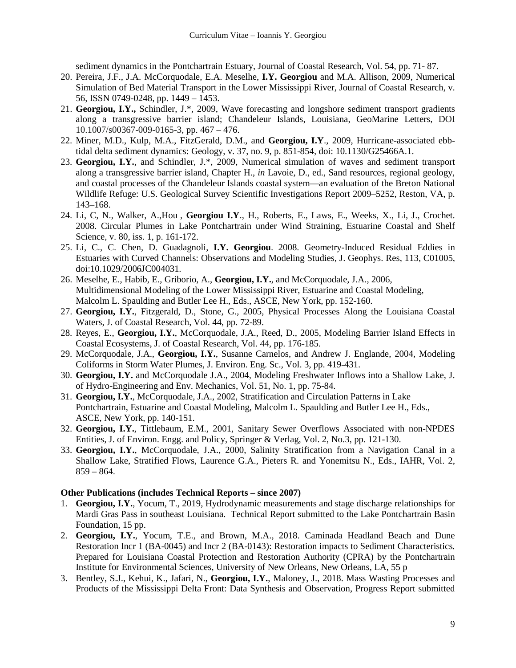sediment dynamics in the Pontchartrain Estuary, Journal of Coastal Research, Vol. 54, pp. 71- 87.

- 20. Pereira, J.F., J.A. McCorquodale, E.A. Meselhe, **I.Y. Georgiou** and M.A. Allison, 2009, Numerical Simulation of Bed Material Transport in the Lower Mississippi River, Journal of Coastal Research, v. 56, ISSN 0749-0248, pp. 1449 – 1453.
- 21. **Georgiou, I.Y.,** Schindler, J.\*, 2009, Wave forecasting and longshore sediment transport gradients along a transgressive barrier island; Chandeleur Islands, Louisiana, GeoMarine Letters, DOI 10.1007/s00367-009-0165-3, pp. 467 – 476.
- 22. Miner, M.D., Kulp, M.A., FitzGerald, D.M., and **Georgiou, I.Y**., 2009, Hurricane-associated ebbtidal delta sediment dynamics: Geology, v. 37, no. 9, p. 851-854, doi: 10.1130/G25466A.1.
- 23. **Georgiou, I.Y.**, and Schindler, J.\*, 2009, Numerical simulation of waves and sediment transport along a transgressive barrier island, Chapter H., *in* Lavoie, D., ed., Sand resources, regional geology, and coastal processes of the Chandeleur Islands coastal system—an evaluation of the Breton National Wildlife Refuge: U.S. Geological Survey Scientific Investigations Report 2009–5252, Reston, VA, p. 143–168.
- 24. Li, C, N., Walker, A.,Hou , **Georgiou I.Y**., H., Roberts, E., Laws, E., Weeks, X., Li, J., Crochet. 2008. Circular Plumes in Lake Pontchartrain under Wind Straining, Estuarine Coastal and Shelf Science, v. 80, iss. 1, p. 161-172.
- 25. Li, C., C. Chen, D. Guadagnoli, **I.Y. Georgiou**. 2008. Geometry-Induced Residual Eddies in Estuaries with Curved Channels: Observations and Modeling Studies, J. Geophys. Res, 113, C01005, doi:10.1029/2006JC004031.
- 26. Meselhe, E., Habib, E., Griborio, A., **Georgiou, I.Y.**, and McCorquodale, J.A., 2006, Multidimensional Modeling of the Lower Mississippi River, Estuarine and Coastal Modeling, Malcolm L. Spaulding and Butler Lee H., Eds., ASCE, New York, pp. 152-160.
- 27. **Georgiou, I.Y.**, Fitzgerald, D., Stone, G., 2005, Physical Processes Along the Louisiana Coastal Waters, J. of Coastal Research, Vol. 44, pp. 72-89.
- 28. Reyes, E., **Georgiou, I.Y.**, McCorquodale, J.A., Reed, D., 2005, Modeling Barrier Island Effects in Coastal Ecosystems, J. of Coastal Research, Vol. 44, pp. 176-185.
- 29. McCorquodale, J.A., **Georgiou, I.Y.**, Susanne Carnelos, and Andrew J. Englande, 2004, Modeling Coliforms in Storm Water Plumes, J. Environ. Eng. Sc., Vol. 3, pp. 419-431.
- 30. **Georgiou, I.Y.** and McCorquodale J.A., 2004, Modeling Freshwater Inflows into a Shallow Lake, J. of Hydro-Engineering and Env. Mechanics, Vol. 51, No. 1, pp. 75-84.
- 31. **Georgiou, I.Y.**, McCorquodale, J.A., 2002, Stratification and Circulation Patterns in Lake Pontchartrain, Estuarine and Coastal Modeling, Malcolm L. Spaulding and Butler Lee H., Eds., ASCE, New York, pp. 140-151.
- 32. **Georgiou, I.Y.**, Tittlebaum, E.M., 2001, Sanitary Sewer Overflows Associated with non-NPDES Entities, J. of Environ. Engg. and Policy, Springer & Verlag, Vol. 2, No.3, pp. 121-130.
- 33. **Georgiou, I.Y.**, McCorquodale, J.A., 2000, Salinity Stratification from a Navigation Canal in a Shallow Lake, Stratified Flows, Laurence G.A., Pieters R. and Yonemitsu N., Eds., IAHR, Vol. 2,  $859 - 864.$

#### **Other Publications (includes Technical Reports – since 2007)**

- 1. **Georgiou, I.Y.**, Yocum, T., 2019, Hydrodynamic measurements and stage discharge relationships for Mardi Gras Pass in southeast Louisiana. Technical Report submitted to the Lake Pontchartrain Basin Foundation, 15 pp.
- 2. **Georgiou, I.Y.**, Yocum, T.E., and Brown, M.A., 2018. Caminada Headland Beach and Dune Restoration Incr 1 (BA-0045) and Incr 2 (BA-0143): Restoration impacts to Sediment Characteristics*.*  Prepared for Louisiana Coastal Protection and Restoration Authority (CPRA) by the Pontchartrain Institute for Environmental Sciences, University of New Orleans, New Orleans, LA, 55 p
- 3. Bentley, S.J., Kehui, K., Jafari, N., **Georgiou, I.Y.**, Maloney, J., 2018. Mass Wasting Processes and Products of the Mississippi Delta Front: Data Synthesis and Observation, Progress Report submitted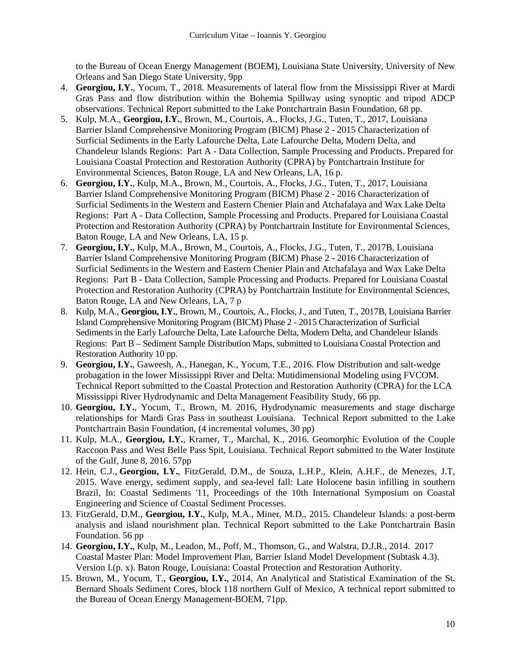to the Bureau of Ocean Energy Management (BOEM), Louisiana State University, University of New Orleans and San Diego State University, 9pp

- 4. **Georgiou, I.Y.**, Yocum, T., 2018. Measurements of lateral flow from the Mississippi River at Mardi Gras Pass and flow distribution within the Bohemia Spillway using synoptic and tripod ADCP observations. Technical Report submitted to the Lake Pontchartrain Basin Foundation, 68 pp.
- 5. Kulp, M.A., **Georgiou, I.Y.**, Brown, M., Courtois, A., Flocks, J.G., Tuten, T., 2017, Louisiana Barrier Island Comprehensive Monitoring Program (BICM) Phase 2 - 2015 Characterization of Surficial Sediments in the Early Lafourche Delta, Late Lafourche Delta, Modern Delta, and Chandeleur Islands Regions: Part A - Data Collection, Sample Processing and Products. Prepared for Louisiana Coastal Protection and Restoration Authority (CPRA) by Pontchartrain Institute for Environmental Sciences, Baton Rouge, LA and New Orleans, LA, 16 p.
- 6. **Georgiou, I.Y.**, Kulp, M.A., Brown, M., Courtois, A., Flocks, J.G., Tuten, T., 2017, Louisiana Barrier Island Comprehensive Monitoring Program (BICM) Phase 2 - 2016 Characterization of Surficial Sediments in the Western and Eastern Chenier Plain and Atchafalaya and Wax Lake Delta Regions: Part A - Data Collection, Sample Processing and Products. Prepared for Louisiana Coastal Protection and Restoration Authority (CPRA) by Pontchartrain Institute for Environmental Sciences, Baton Rouge, LA and New Orleans, LA, 15 p.
- 7. **Georgiou, I.Y.**, Kulp, M.A., Brown, M., Courtois, A., Flocks, J.G., Tuten, T., 2017B, Louisiana Barrier Island Comprehensive Monitoring Program (BICM) Phase 2 - 2016 Characterization of Surficial Sediments in the Western and Eastern Chenier Plain and Atchafalaya and Wax Lake Delta Regions: Part B - Data Collection, Sample Processing and Products. Prepared for Louisiana Coastal Protection and Restoration Authority (CPRA) by Pontchartrain Institute for Environmental Sciences, Baton Rouge, LA and New Orleans, LA, 7 p
- 8. Kulp, M.A., **Georgiou, I.Y.**, Brown, M., Courtois, A., Flocks, J., and Tuten, T., 2017B, Louisiana Barrier Island Comprehensive Monitoring Program (BICM) Phase 2 - 2015 Characterization of Surficial Sediments in the Early Lafourche Delta, Late Lafourche Delta, Modern Delta, and Chandeleur Islands Regions: Part B – Sediment Sample Distribution Maps, submitted to Louisiana Coastal Protection and Restoration Authority 10 pp.
- 9. **Georgiou, I.Y.**, Gaweesh, A., Hanegan, K., Yocum, T.E., 2016. Flow Distribution and salt-wedge probagation in the lower Mississippi River and Delta: Mutidimensional Modeling using FVCOM. Technical Report submitted to the Coastal Protection and Restoration Authority (CPRA) for the LCA Mississippi River Hydrodynamic and Delta Management Feasibility Study, 66 pp.
- 10. **Georgiou, I.Y.**, Yocum, T., Brown, M. 2016, Hydrodynamic measurements and stage discharge relationships for Mardi Gras Pass in southeast Louisiana. Technical Report submitted to the Lake Pontchartrain Basin Foundation, (4 incremental volumes, 30 pp)
- 11. Kulp, M.A., **Georgiou, I.Y.**, Kramer, T., Marchal, K., 2016. Geomorphic Evolution of the Couple Raccoon Pass and West Belle Pass Spit, Louisiana. Technical Report submitted to the Water Institute of the Gulf, June 8, 2016. 57pp
- 12. Hein, C.J., **Georgiou, I.Y.**, FitzGerald, D.M., de Souza, L.H.P., Klein, A.H.F., de Menezes, J.T, 2015. Wave energy, sediment supply, and sea-level fall: Late Holocene basin infilling in southern Brazil, In: Coastal Sediments '11, Proceedings of the 10th International Symposium on Coastal Engineering and Science of Coastal Sediment Processes.
- 13. FitzGerald, D.M., **Georgiou, I.Y.**, Kulp, M.A., Miner, M.D., 2015. Chandeleur Islands: a post-berm analysis and island nourishment plan. Technical Report submitted to the Lake Pontchartrain Basin Foundation. 56 pp
- 14. **Georgiou, I.Y.**, Kulp, M., Leadon, M., Poff, M., Thomson, G., and Walstra, D.J.R., 2014. 2017 Coastal Master Plan: Model Improvement Plan, Barrier Island Model Development (Subtask 4.3). Version I.(p. x). Baton Rouge, Louisiana: Coastal Protection and Restoration Authority.
- 15. Brown, M., Yocum, T., **Georgiou, I.Y.**, 2014, An Analytical and Statistical Examination of the St. Bernard Shoals Sediment Cores, block 118 northern Gulf of Mexico, A technical report submitted to the Bureau of Ocean Energy Management-BOEM, 71pp.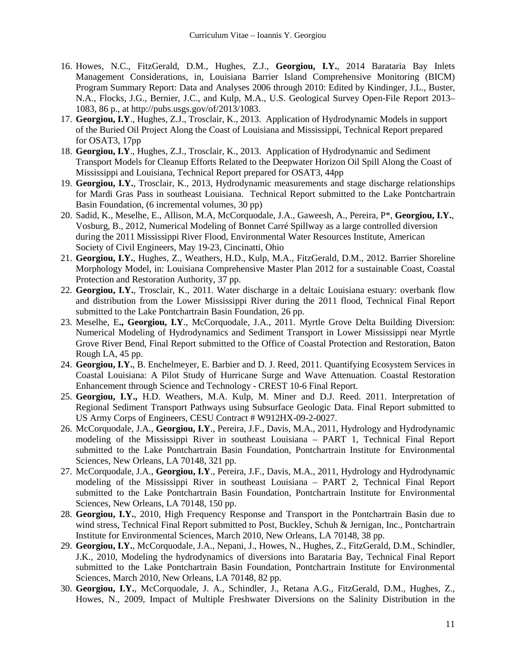- 16. Howes, N.C., FitzGerald, D.M., Hughes, Z.J., **Georgiou, I.Y.**, 2014 Barataria Bay Inlets Management Considerations, in, Louisiana Barrier Island Comprehensive Monitoring (BICM) Program Summary Report: Data and Analyses 2006 through 2010: Edited by Kindinger, J.L., Buster, N.A., Flocks, J.G., Bernier, J.C., and Kulp, M.A., U.S. Geological Survey Open-File Report 2013– 1083, 86 p., at http://pubs.usgs.gov/of/2013/1083.
- 17. **Georgiou, I.Y**., Hughes, Z.J., Trosclair, K., 2013. Application of Hydrodynamic Models in support of the Buried Oil Project Along the Coast of Louisiana and Mississippi, Technical Report prepared for OSAT3, 17pp
- 18. **Georgiou, I.Y**., Hughes, Z.J., Trosclair, K., 2013. Application of Hydrodynamic and Sediment Transport Models for Cleanup Efforts Related to the Deepwater Horizon Oil Spill Along the Coast of Mississippi and Louisiana, Technical Report prepared for OSAT3, 44pp
- 19. **Georgiou, I.Y.**, Trosclair, K., 2013, Hydrodynamic measurements and stage discharge relationships for Mardi Gras Pass in southeast Louisiana. Technical Report submitted to the Lake Pontchartrain Basin Foundation, (6 incremental volumes, 30 pp)
- 20. Sadid, K., Meselhe, E., Allison, M.A, McCorquodale, J.A., Gaweesh, A., Pereira, P\*, **Georgiou, I.Y.**, Vosburg, B., 2012, Numerical Modeling of Bonnet Carré Spillway as a large controlled diversion during the 2011 Mississippi River Flood, Environmental Water Resources Institute, American Society of Civil Engineers, May 19-23, Cincinatti, Ohio
- 21. **Georgiou, I.Y.**, Hughes, Z., Weathers, H.D., Kulp, M.A., FitzGerald, D.M., 2012. Barrier Shoreline Morphology Model, in: Louisiana Comprehensive Master Plan 2012 for a sustainable Coast, Coastal Protection and Restoration Authority, 37 pp.
- 22. **Georgiou, I.Y.**, Trosclair, K., 2011. Water discharge in a deltaic Louisiana estuary: overbank flow and distribution from the Lower Mississippi River during the 2011 flood, Technical Final Report submitted to the Lake Pontchartrain Basin Foundation, 26 pp.
- 23. Meselhe, E**., Georgiou, I.Y**., McCorquodale, J.A., 2011. Myrtle Grove Delta Building Diversion: Numerical Modeling of Hydrodynamics and Sediment Transport in Lower Mississippi near Myrtle Grove River Bend, Final Report submitted to the Office of Coastal Protection and Restoration, Baton Rough LA, 45 pp.
- 24. **Georgiou, I.Y.**, B. Enchelmeyer, E. Barbier and D. J. Reed, 2011. Quantifying Ecosystem Services in Coastal Louisiana: A Pilot Study of Hurricane Surge and Wave Attenuation. Coastal Restoration Enhancement through Science and Technology - CREST 10-6 Final Report.
- 25. **Georgiou, I.Y.,** H.D. Weathers, M.A. Kulp, M. Miner and D.J. Reed. 2011. Interpretation of Regional Sediment Transport Pathways using Subsurface Geologic Data. Final Report submitted to US Army Corps of Engineers, CESU Contract # W912HX-09-2-0027.
- 26. McCorquodale, J.A., **Georgiou, I.Y**., Pereira, J.F., Davis, M.A., 2011, Hydrology and Hydrodynamic modeling of the Mississippi River in southeast Louisiana – PART 1, Technical Final Report submitted to the Lake Pontchartrain Basin Foundation, Pontchartrain Institute for Environmental Sciences, New Orleans, LA 70148, 321 pp.
- 27. McCorquodale, J.A., **Georgiou, I.Y**., Pereira, J.F., Davis, M.A., 2011, Hydrology and Hydrodynamic modeling of the Mississippi River in southeast Louisiana – PART 2, Technical Final Report submitted to the Lake Pontchartrain Basin Foundation, Pontchartrain Institute for Environmental Sciences, New Orleans, LA 70148, 150 pp.
- 28. **Georgiou, I.Y.**, 2010, High Frequency Response and Transport in the Pontchartrain Basin due to wind stress, Technical Final Report submitted to Post, Buckley, Schuh & Jernigan, Inc., Pontchartrain Institute for Environmental Sciences, March 2010, New Orleans, LA 70148, 38 pp.
- 29. **Georgiou, I.Y.**, McCorquodale, J.A., Nepani, J., Howes, N., Hughes, Z., FitzGerald, D.M., Schindler, J.K., 2010, Modeling the hydrodynamics of diversions into Barataria Bay, Technical Final Report submitted to the Lake Pontchartrain Basin Foundation, Pontchartrain Institute for Environmental Sciences, March 2010, New Orleans, LA 70148, 82 pp.
- 30. **Georgiou, I.Y.**, McCorquodale, J. A., Schindler, J., Retana A.G., FitzGerald, D.M., Hughes, Z., Howes, N., 2009, Impact of Multiple Freshwater Diversions on the Salinity Distribution in the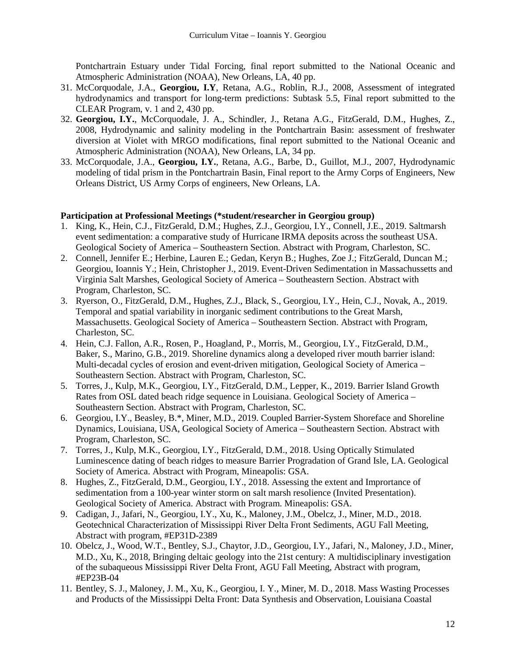Pontchartrain Estuary under Tidal Forcing, final report submitted to the National Oceanic and Atmospheric Administration (NOAA), New Orleans, LA, 40 pp.

- 31. McCorquodale, J.A., **Georgiou, I.Y**, Retana, A.G., Roblin, R.J., 2008, Assessment of integrated hydrodynamics and transport for long-term predictions: Subtask 5.5, Final report submitted to the CLEAR Program, v. 1 and 2, 430 pp.
- 32. **Georgiou, I.Y.**, McCorquodale, J. A., Schindler, J., Retana A.G., FitzGerald, D.M., Hughes, Z., 2008, Hydrodynamic and salinity modeling in the Pontchartrain Basin: assessment of freshwater diversion at Violet with MRGO modifications, final report submitted to the National Oceanic and Atmospheric Administration (NOAA), New Orleans, LA, 34 pp.
- 33. McCorquodale, J.A., **Georgiou, I.Y.**, Retana, A.G., Barbe, D., Guillot, M.J., 2007, Hydrodynamic modeling of tidal prism in the Pontchartrain Basin, Final report to the Army Corps of Engineers, New Orleans District, US Army Corps of engineers, New Orleans, LA.

### **Participation at Professional Meetings (\*student/researcher in Georgiou group)**

- 1. King, K., Hein, C.J., FitzGerald, D.M.; Hughes, Z.J., Georgiou, I.Y., Connell, J.E., 2019. Saltmarsh event sedimentation: a comparative study of Hurricane IRMA deposits across the southeast USA. Geological Society of America – Southeastern Section. Abstract with Program, Charleston, SC.
- 2. Connell, Jennifer E.; Herbine, Lauren E.; Gedan, Keryn B.; Hughes, Zoe J.; FitzGerald, Duncan M.; Georgiou, Ioannis Y.; Hein, Christopher J., 2019. Event-Driven Sedimentation in Massachussetts and Virginia Salt Marshes, Geological Society of America – Southeastern Section. Abstract with Program, Charleston, SC.
- 3. Ryerson, O., FitzGerald, D.M., Hughes, Z.J., Black, S., Georgiou, I.Y., Hein, C.J., Novak, A., 2019. Temporal and spatial variability in inorganic sediment contributions to the Great Marsh, Massachusetts. Geological Society of America – Southeastern Section. Abstract with Program, Charleston, SC.
- 4. Hein, C.J. Fallon, A.R., Rosen, P., Hoagland, P., Morris, M., Georgiou, I.Y., FitzGerald, D.M., Baker, S., Marino, G.B., 2019. Shoreline dynamics along a developed river mouth barrier island: Multi-decadal cycles of erosion and event-driven mitigation, Geological Society of America – Southeastern Section. Abstract with Program, Charleston, SC.
- 5. Torres, J., Kulp, M.K., Georgiou, I.Y., FitzGerald, D.M., Lepper, K., 2019. Barrier Island Growth Rates from OSL dated beach ridge sequence in Louisiana. Geological Society of America – Southeastern Section. Abstract with Program, Charleston, SC.
- 6. Georgiou, I.Y., Beasley, B.\*, Miner, M.D., 2019. Coupled Barrier-System Shoreface and Shoreline Dynamics, Louisiana, USA, Geological Society of America – Southeastern Section. Abstract with Program, Charleston, SC.
- 7. Torres, J., Kulp, M.K., Georgiou, I.Y., FitzGerald, D.M., 2018. Using Optically Stimulated Luminescence dating of beach ridges to measure Barrier Progradation of Grand Isle, LA. Geological Society of America. Abstract with Program, Mineapolis: GSA.
- 8. Hughes, Z., FitzGerald, D.M., Georgiou, I.Y., 2018. Assessing the extent and Imprortance of sedimentation from a 100-year winter storm on salt marsh resolience (Invited Presentation). Geological Society of America. Abstract with Program. Mineapolis: GSA.
- 9. Cadigan, J., Jafari, N., Georgiou, I.Y., Xu, K., Maloney, J.M., Obelcz, J., Miner, M.D., 2018. Geotechnical Characterization of Mississippi River Delta Front Sediments, AGU Fall Meeting, Abstract with program, #EP31D-2389
- 10. Obelcz, J., Wood, W.T., Bentley, S.J., Chaytor, J.D., Georgiou, I.Y., Jafari, N., Maloney, J.D., Miner, M.D., Xu, K., 2018, Bringing deltaic geology into the 21st century: A multidisciplinary investigation of the subaqueous Mississippi River Delta Front, AGU Fall Meeting, Abstract with program, #EP23B-04
- 11. Bentley, S. J., Maloney, J. M., Xu, K., Georgiou, I. Y., Miner, M. D., 2018. Mass Wasting Processes and Products of the Mississippi Delta Front: Data Synthesis and Observation, Louisiana Coastal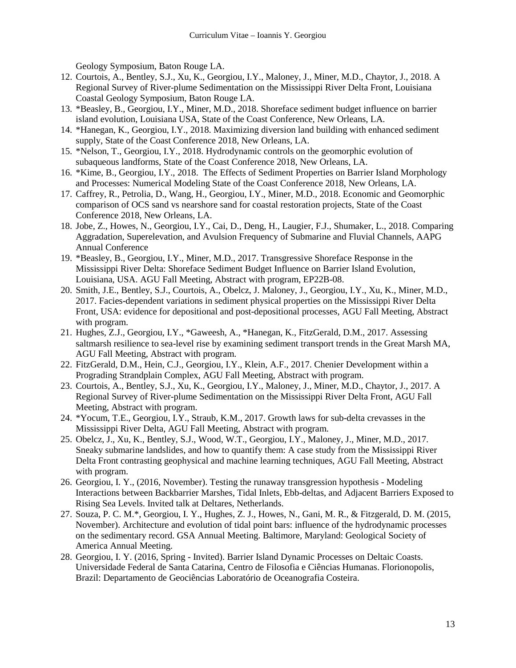Geology Symposium, Baton Rouge LA.

- 12. Courtois, A., Bentley, S.J., Xu, K., Georgiou, I.Y., Maloney, J., Miner, M.D., Chaytor, J., 2018. A Regional Survey of River-plume Sedimentation on the Mississippi River Delta Front, Louisiana Coastal Geology Symposium, Baton Rouge LA.
- 13. \*Beasley, B., Georgiou, I.Y., Miner, M.D., 2018. Shoreface sediment budget influence on barrier island evolution, Louisiana USA, State of the Coast Conference, New Orleans, LA.
- 14. \*Hanegan, K., Georgiou, I.Y., 2018. Maximizing diversion land building with enhanced sediment supply, State of the Coast Conference 2018, New Orleans, LA.
- 15. \*Nelson, T., Georgiou, I.Y., 2018. Hydrodynamic controls on the geomorphic evolution of subaqueous landforms, State of the Coast Conference 2018, New Orleans, LA.
- 16. \*Kime, B., Georgiou, I.Y., 2018. The Effects of Sediment Properties on Barrier Island Morphology and Processes: Numerical Modeling State of the Coast Conference 2018, New Orleans, LA.
- 17. Caffrey, R., Petrolia, D., Wang, H., Georgiou, I.Y., Miner, M.D., 2018. Economic and Geomorphic comparison of OCS sand vs nearshore sand for coastal restoration projects, State of the Coast Conference 2018, New Orleans, LA.
- 18. Jobe, Z., Howes, N., Georgiou, I.Y., Cai, D., Deng, H., Laugier, F.J., Shumaker, L., 2018. Comparing Aggradation, Superelevation, and Avulsion Frequency of Submarine and Fluvial Channels, AAPG Annual Conference
- 19. \*Beasley, B., Georgiou, I.Y., Miner, M.D., 2017. Transgressive Shoreface Response in the Mississippi River Delta: Shoreface Sediment Budget Influence on Barrier Island Evolution, Louisiana, USA. AGU Fall Meeting, Abstract with program, EP22B-08.
- 20. Smith, J.E., Bentley, S.J., Courtois, A., Obelcz, J. Maloney, J., Georgiou, I.Y., Xu, K., Miner, M.D., 2017. Facies-dependent variations in sediment physical properties on the Mississippi River Delta Front, USA: evidence for depositional and post-depositional processes, AGU Fall Meeting, Abstract with program.
- 21. Hughes, Z.J., Georgiou, I.Y., \*Gaweesh, A., \*Hanegan, K., FitzGerald, D.M., 2017. Assessing saltmarsh resilience to sea-level rise by examining sediment transport trends in the Great Marsh MA, AGU Fall Meeting, Abstract with program.
- 22. FitzGerald, D.M., Hein, C.J., Georgiou, I.Y., Klein, A.F., 2017. Chenier Development within a Prograding Strandplain Complex, AGU Fall Meeting, Abstract with program.
- 23. Courtois, A., Bentley, S.J., Xu, K., Georgiou, I.Y., Maloney, J., Miner, M.D., Chaytor, J., 2017. A Regional Survey of River-plume Sedimentation on the Mississippi River Delta Front, AGU Fall Meeting, Abstract with program.
- 24. \*Yocum, T.E., Georgiou, I.Y., Straub, K.M., 2017. Growth laws for sub-delta crevasses in the Mississippi River Delta, AGU Fall Meeting, Abstract with program.
- 25. Obelcz, J., Xu, K., Bentley, S.J., Wood, W.T., Georgiou, I.Y., Maloney, J., Miner, M.D., 2017. Sneaky submarine landslides, and how to quantify them: A case study from the Mississippi River Delta Front contrasting geophysical and machine learning techniques, AGU Fall Meeting, Abstract with program.
- 26. Georgiou, I. Y., (2016, November). Testing the runaway transgression hypothesis Modeling Interactions between Backbarrier Marshes, Tidal Inlets, Ebb-deltas, and Adjacent Barriers Exposed to Rising Sea Levels. Invited talk at Deltares, Netherlands.
- 27. Souza, P. C. M.\*, Georgiou, I. Y., Hughes, Z. J., Howes, N., Gani, M. R., & Fitzgerald, D. M. (2015, November). Architecture and evolution of tidal point bars: influence of the hydrodynamic processes on the sedimentary record. GSA Annual Meeting. Baltimore, Maryland: Geological Society of America Annual Meeting.
- 28. Georgiou, I. Y. (2016, Spring Invited). Barrier Island Dynamic Processes on Deltaic Coasts. Universidade Federal de Santa Catarina, Centro de Filosofia e Ciências Humanas. Florionopolis, Brazil: Departamento de Geociências Laboratório de Oceanografia Costeira.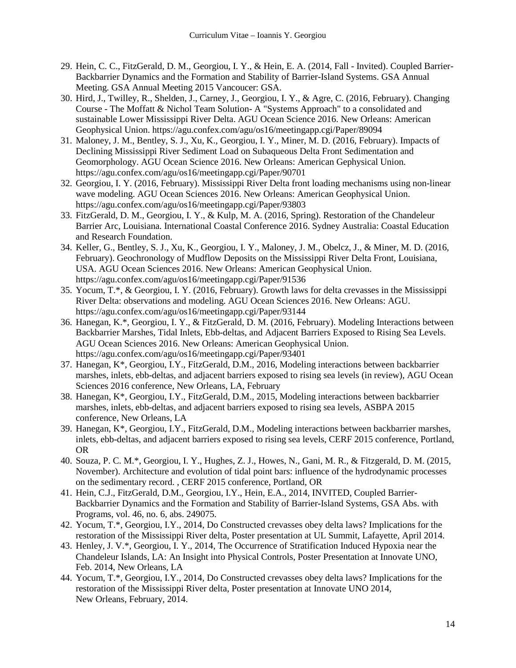- 29. Hein, C. C., FitzGerald, D. M., Georgiou, I. Y., & Hein, E. A. (2014, Fall Invited). Coupled Barrier-Backbarrier Dynamics and the Formation and Stability of Barrier-Island Systems. GSA Annual Meeting. GSA Annual Meeting 2015 Vancoucer: GSA.
- 30. Hird, J., Twilley, R., Shelden, J., Carney, J., Georgiou, I. Y., & Agre, C. (2016, February). Changing Course - The Moffatt & Nichol Team Solution- A "Systems Approach" to a consolidated and sustainable Lower Mississippi River Delta. AGU Ocean Science 2016. New Orleans: American Geophysical Union. https://agu.confex.com/agu/os16/meetingapp.cgi/Paper/89094
- 31. Maloney, J. M., Bentley, S. J., Xu, K., Georgiou, I. Y., Miner, M. D. (2016, February). Impacts of Declining Mississippi River Sediment Load on Subaqueous Delta Front Sedimentation and Geomorphology. AGU Ocean Science 2016. New Orleans: American Gephysical Union. https://agu.confex.com/agu/os16/meetingapp.cgi/Paper/90701
- 32. Georgiou, I. Y. (2016, February). Mississippi River Delta front loading mechanisms using non-linear wave modeling. AGU Ocean Sciences 2016. New Orleans: American Geophysical Union. https://agu.confex.com/agu/os16/meetingapp.cgi/Paper/93803
- 33. FitzGerald, D. M., Georgiou, I. Y., & Kulp, M. A. (2016, Spring). Restoration of the Chandeleur Barrier Arc, Louisiana. International Coastal Conference 2016. Sydney Australia: Coastal Education and Research Foundation.
- 34. Keller, G., Bentley, S. J., Xu, K., Georgiou, I. Y., Maloney, J. M., Obelcz, J., & Miner, M. D. (2016, February). Geochronology of Mudflow Deposits on the Mississippi River Delta Front, Louisiana, USA. AGU Ocean Sciences 2016. New Orleans: American Geophysical Union. https://agu.confex.com/agu/os16/meetingapp.cgi/Paper/91536
- 35. Yocum, T.\*, & Georgiou, I. Y. (2016, February). Growth laws for delta crevasses in the Mississippi River Delta: observations and modeling. AGU Ocean Sciences 2016. New Orleans: AGU. https://agu.confex.com/agu/os16/meetingapp.cgi/Paper/93144
- 36. Hanegan, K.\*, Georgiou, I. Y., & FitzGerald, D. M. (2016, February). Modeling Interactions between Backbarrier Marshes, Tidal Inlets, Ebb-deltas, and Adjacent Barriers Exposed to Rising Sea Levels. AGU Ocean Sciences 2016. New Orleans: American Geophysical Union. https://agu.confex.com/agu/os16/meetingapp.cgi/Paper/93401
- 37. Hanegan, K\*, Georgiou, I.Y., FitzGerald, D.M., 2016, Modeling interactions between backbarrier marshes, inlets, ebb-deltas, and adjacent barriers exposed to rising sea levels (in review), AGU Ocean Sciences 2016 conference, New Orleans, LA, February
- 38. Hanegan, K\*, Georgiou, I.Y., FitzGerald, D.M., 2015, Modeling interactions between backbarrier marshes, inlets, ebb-deltas, and adjacent barriers exposed to rising sea levels, ASBPA 2015 conference, New Orleans, LA
- 39. Hanegan, K\*, Georgiou, I.Y., FitzGerald, D.M., Modeling interactions between backbarrier marshes, inlets, ebb-deltas, and adjacent barriers exposed to rising sea levels, CERF 2015 conference, Portland, OR
- 40. Souza, P. C. M.\*, Georgiou, I. Y., Hughes, Z. J., Howes, N., Gani, M. R., & Fitzgerald, D. M. (2015, November). Architecture and evolution of tidal point bars: influence of the hydrodynamic processes on the sedimentary record. , CERF 2015 conference, Portland, OR
- 41. Hein, C.J., FitzGerald, D.M., Georgiou, I.Y., Hein, E.A., 2014, INVITED, Coupled Barrier-Backbarrier Dynamics and the Formation and Stability of Barrier-Island Systems, GSA Abs. with Programs, vol. 46, no. 6, abs. 249075.
- 42. Yocum, T.\*, Georgiou, I.Y., 2014, Do Constructed crevasses obey delta laws? Implications for the restoration of the Mississippi River delta, Poster presentation at UL Summit, Lafayette, April 2014.
- 43. Henley, J. V.\*, Georgiou, I. Y., 2014, The Occurrence of Stratification Induced Hypoxia near the Chandeleur Islands, LA: An Insight into Physical Controls, Poster Presentation at Innovate UNO, Feb. 2014, New Orleans, LA
- 44. Yocum, T.\*, Georgiou, I.Y., 2014, Do Constructed crevasses obey delta laws? Implications for the restoration of the Mississippi River delta, Poster presentation at Innovate UNO 2014, New Orleans, February, 2014.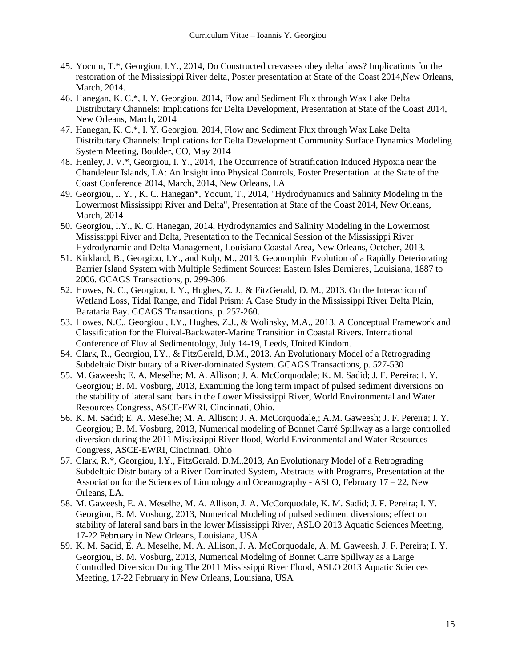- 45. Yocum, T.\*, Georgiou, I.Y., 2014, Do Constructed crevasses obey delta laws? Implications for the restoration of the Mississippi River delta, Poster presentation at State of the Coast 2014,New Orleans, March, 2014.
- 46. Hanegan, K. C.\*, I. Y. Georgiou, 2014, Flow and Sediment Flux through Wax Lake Delta Distributary Channels: Implications for Delta Development, Presentation at State of the Coast 2014, New Orleans, March, 2014
- 47. Hanegan, K. C.\*, I. Y. Georgiou, 2014, Flow and Sediment Flux through Wax Lake Delta Distributary Channels: Implications for Delta Development Community Surface Dynamics Modeling System Meeting, Boulder, CO, May 2014
- 48. Henley, J. V.\*, Georgiou, I. Y., 2014, The Occurrence of Stratification Induced Hypoxia near the Chandeleur Islands, LA: An Insight into Physical Controls, Poster Presentation at the State of the Coast Conference 2014, March, 2014, New Orleans, LA
- 49. Georgiou, I. Y. , K. C. Hanegan\*, Yocum, T., 2014, "Hydrodynamics and Salinity Modeling in the Lowermost Mississippi River and Delta", Presentation at State of the Coast 2014, New Orleans, March, 2014
- 50. Georgiou, I.Y., K. C. Hanegan, 2014, Hydrodynamics and Salinity Modeling in the Lowermost Mississippi River and Delta, Presentation to the Technical Session of the Mississippi River Hydrodynamic and Delta Management, Louisiana Coastal Area, New Orleans, October, 2013.
- 51. Kirkland, B., Georgiou, I.Y., and Kulp, M., 2013. Geomorphic Evolution of a Rapidly Deteriorating Barrier Island System with Multiple Sediment Sources: Eastern Isles Dernieres, Louisiana, 1887 to 2006. GCAGS Transactions, p. 299-306.
- 52. Howes, N. C., Georgiou, I. Y., Hughes, Z. J., & FitzGerald, D. M., 2013. On the Interaction of Wetland Loss, Tidal Range, and Tidal Prism: A Case Study in the Mississippi River Delta Plain, Barataria Bay. GCAGS Transactions, p. 257-260.
- 53. Howes, N.C., Georgiou , I.Y., Hughes, Z.J., & Wolinsky, M.A., 2013, A Conceptual Framework and Classification for the Fluival-Backwater-Marine Transition in Coastal Rivers. International Conference of Fluvial Sedimentology, July 14-19, Leeds, United Kindom.
- 54. Clark, R., Georgiou, I.Y., & FitzGerald, D.M., 2013. An Evolutionary Model of a Retrograding Subdeltaic Distributary of a River-dominated System. GCAGS Transactions, p. 527-530
- 55. M. Gaweesh; E. A. Meselhe; M. A. Allison; J. A. McCorquodale; K. M. Sadid; J. F. Pereira; I. Y. Georgiou; B. M. Vosburg, 2013, Examining the long term impact of pulsed sediment diversions on the stability of lateral sand bars in the Lower Mississippi River, World Environmental and Water Resources Congress, ASCE-EWRI, Cincinnati, Ohio.
- 56. K. M. Sadid; E. A. Meselhe; M. A. Allison; J. A. McCorquodale,; A.M. Gaweesh; J. F. Pereira; I. Y. Georgiou; B. M. Vosburg, 2013, Numerical modeling of Bonnet Carré Spillway as a large controlled diversion during the 2011 Mississippi River flood, World Environmental and Water Resources Congress, ASCE-EWRI, Cincinnati, Ohio
- 57. Clark, R.\*, Georgiou, I.Y., FitzGerald, D.M.,2013, An Evolutionary Model of a Retrograding Subdeltaic Distributary of a River-Dominated System, Abstracts with Programs, Presentation at the Association for the Sciences of Limnology and Oceanography - ASLO, February  $17 - 22$ , New Orleans, LA.
- 58. M. Gaweesh, E. A. Meselhe, M. A. Allison, J. A. McCorquodale, K. M. Sadid; J. F. Pereira; I. Y. Georgiou, B. M. Vosburg, 2013, Numerical Modeling of pulsed sediment diversions; effect on stability of lateral sand bars in the lower Mississippi River, ASLO 2013 Aquatic Sciences Meeting, 17-22 February in New Orleans, Louisiana, USA
- 59. K. M. Sadid, E. A. Meselhe, M. A. Allison, J. A. McCorquodale, A. M. Gaweesh, J. F. Pereira; I. Y. Georgiou, B. M. Vosburg, 2013, Numerical Modeling of Bonnet Carre Spillway as a Large Controlled Diversion During The 2011 Mississippi River Flood, ASLO 2013 Aquatic Sciences Meeting, 17-22 February in New Orleans, Louisiana, USA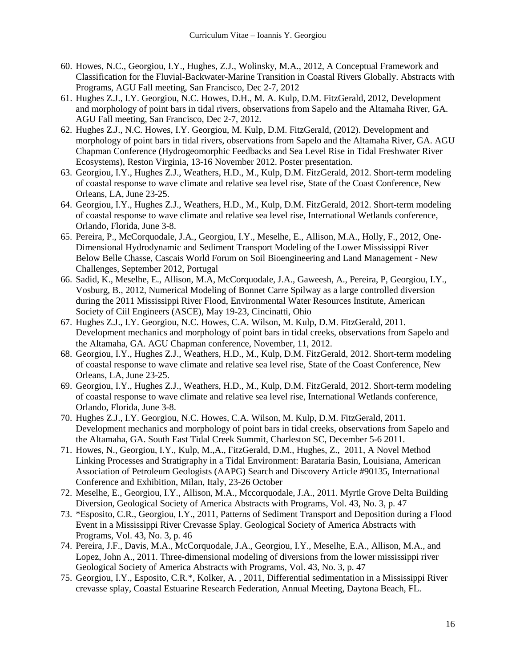- 60. Howes, N.C., Georgiou, I.Y., Hughes, Z.J., Wolinsky, M.A., 2012, A Conceptual Framework and Classification for the Fluvial-Backwater-Marine Transition in Coastal Rivers Globally. Abstracts with Programs, AGU Fall meeting, San Francisco, Dec 2-7, 2012
- 61. Hughes Z.J., I.Y. Georgiou, N.C. Howes, D.H., M. A. Kulp, D.M. FitzGerald, 2012, Development and morphology of point bars in tidal rivers, observations from Sapelo and the Altamaha River, GA. AGU Fall meeting, San Francisco, Dec 2-7, 2012.
- 62. Hughes Z.J., N.C. Howes, I.Y. Georgiou, M. Kulp, D.M. FitzGerald, (2012). Development and morphology of point bars in tidal rivers, observations from Sapelo and the Altamaha River, GA. AGU Chapman Conference (Hydrogeomorphic Feedbacks and Sea Level Rise in Tidal Freshwater River Ecosystems), Reston Virginia, 13-16 November 2012. Poster presentation.
- 63. Georgiou, I.Y., Hughes Z.J., Weathers, H.D., M., Kulp, D.M. FitzGerald, 2012. Short-term modeling of coastal response to wave climate and relative sea level rise, State of the Coast Conference, New Orleans, LA, June 23-25.
- 64. Georgiou, I.Y., Hughes Z.J., Weathers, H.D., M., Kulp, D.M. FitzGerald, 2012. Short-term modeling of coastal response to wave climate and relative sea level rise, International Wetlands conference, Orlando, Florida, June 3-8.
- 65. Pereira, P., McCorquodale, J.A., Georgiou, I.Y., Meselhe, E., Allison, M.A., Holly, F., 2012, One-Dimensional Hydrodynamic and Sediment Transport Modeling of the Lower Mississippi River Below Belle Chasse, Cascais World Forum on Soil Bioengineering and Land Management - New Challenges, September 2012, Portugal
- 66. Sadid, K., Meselhe, E., Allison, M.A, McCorquodale, J.A., Gaweesh, A., Pereira, P, Georgiou, I.Y., Vosburg, B., 2012, Numerical Modeling of Bonnet Carre Spilway as a large controlled diversion during the 2011 Mississippi River Flood, Environmental Water Resources Institute, American Society of Ciil Engineers (ASCE), May 19-23, Cincinatti, Ohio
- 67. Hughes Z.J., I.Y. Georgiou, N.C. Howes, C.A. Wilson, M. Kulp, D.M. FitzGerald, 2011. Development mechanics and morphology of point bars in tidal creeks, observations from Sapelo and the Altamaha, GA. AGU Chapman conference, November, 11, 2012.
- 68. Georgiou, I.Y., Hughes Z.J., Weathers, H.D., M., Kulp, D.M. FitzGerald, 2012. Short-term modeling of coastal response to wave climate and relative sea level rise, State of the Coast Conference, New Orleans, LA, June 23-25.
- 69. Georgiou, I.Y., Hughes Z.J., Weathers, H.D., M., Kulp, D.M. FitzGerald, 2012. Short-term modeling of coastal response to wave climate and relative sea level rise, International Wetlands conference, Orlando, Florida, June 3-8.
- 70. Hughes Z.J., I.Y. Georgiou, N.C. Howes, C.A. Wilson, M. Kulp, D.M. FitzGerald, 2011. Development mechanics and morphology of point bars in tidal creeks, observations from Sapelo and the Altamaha, GA. South East Tidal Creek Summit, Charleston SC, December 5-6 2011.
- 71. Howes, N., Georgiou, I.Y., Kulp, M.,A., FitzGerald, D.M., Hughes, Z., 2011, A Novel Method Linking Processes and Stratigraphy in a Tidal Environment: Barataria Basin, Louisiana, American Association of Petroleum Geologists (AAPG) Search and Discovery Article #90135, International Conference and Exhibition, Milan, Italy, 23-26 October
- 72. Meselhe, E., Georgiou, I.Y., Allison, M.A., Mccorquodale, J.A., 2011. Myrtle Grove Delta Building Diversion, Geological Society of America Abstracts with Programs, Vol. 43, No. 3, p. 47
- 73. \*Esposito, C.R., Georgiou, I.Y., 2011, Patterns of Sediment Transport and Deposition during a Flood Event in a Mississippi River Crevasse Splay. Geological Society of America Abstracts with Programs, Vol. 43, No. 3, p. 46
- 74. Pereira, J.F., Davis, M.A., McCorquodale, J.A., Georgiou, I.Y., Meselhe, E.A., Allison, M.A., and Lopez, John A., 2011. Three-dimensional modeling of diversions from the lower mississippi river Geological Society of America Abstracts with Programs, Vol. 43, No. 3, p. 47
- 75. Georgiou, I.Y., Esposito, C.R.\*, Kolker, A. , 2011, Differential sedimentation in a Mississippi River crevasse splay, Coastal Estuarine Research Federation, Annual Meeting, Daytona Beach, FL.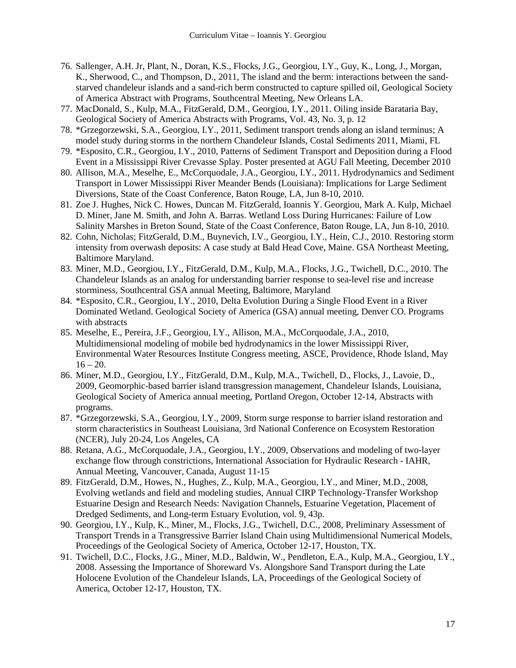- 76. Sallenger, A.H. Jr, Plant, N., Doran, K.S., Flocks, J.G., Georgiou, I.Y., Guy, K., Long, J., Morgan, K., Sherwood, C., and Thompson, D., 2011, The island and the berm: interactions between the sandstarved chandeleur islands and a sand-rich berm constructed to capture spilled oil, Geological Society of America Abstract with Programs, Southcentral Meeting, New Orleans LA.
- 77. MacDonald, S., Kulp, M.A., FitzGerald, D.M., Georgiou, I.Y., 2011. Oiling inside Barataria Bay, Geological Society of America Abstracts with Programs, Vol. 43, No. 3, p. 12
- 78. \*Grzegorzewski, S.A., Georgiou, I.Y., 2011, Sediment transport trends along an island terminus; A model study during storms in the northern Chandeleur Islands, Costal Sediments 2011, Miami, FL
- 79. \*Esposito, C.R., Georgiou, I.Y., 2010, Patterns of Sediment Transport and Deposition during a Flood Event in a Mississippi River Crevasse Splay. Poster presented at AGU Fall Meeting, December 2010
- 80. Allison, M.A., Meselhe, E., McCorquodale, J.A., Georgiou, I.Y., 2011. Hydrodynamics and Sediment Transport in Lower Mississippi River Meander Bends (Louisiana): Implications for Large Sediment Diversions, State of the Coast Conference, Baton Rouge, LA, Jun 8-10, 2010.
- 81. Zoe J. Hughes, Nick C. Howes, Duncan M. FitzGerald, Ioannis Y. Georgiou, Mark A. Kulp, Michael D. Miner, Jane M. Smith, and John A. Barras. Wetland Loss During Hurricanes: Failure of Low Salinity Marshes in Breton Sound, State of the Coast Conference, Baton Rouge, LA, Jun 8-10, 2010.
- 82. Cohn, Nicholas; FitzGerald, D.M., Buynevich, I.V., Georgiou, I.Y., Hein, C.J., 2010. Restoring storm intensity from overwash deposits: A case study at Bald Head Cove, Maine. GSA Northeast Meeting, Baltimore Maryland.
- 83. Miner, M.D., Georgiou, I.Y., FitzGerald, D.M., Kulp, M.A., Flocks, J.G., Twichell, D.C., 2010. The Chandeleur Islands as an analog for understanding barrier response to sea-level rise and increase storminess, Southcentral GSA annual Meeting, Baltimore, Maryland
- 84. \*Esposito, C.R., Georgiou, I.Y., 2010, Delta Evolution During a Single Flood Event in a River Dominated Wetland. Geological Society of America (GSA) annual meeting, Denver CO. Programs with abstracts
- 85. Meselhe, E., Pereira, J.F., Georgiou, I.Y., Allison, M.A., McCorquodale, J.A., 2010, Multidimensional modeling of mobile bed hydrodynamics in the lower Mississippi River, Environmental Water Resources Institute Congress meeting, ASCE, Providence, Rhode Island, May  $16 - 20.$
- 86. Miner, M.D., Georgiou, I.Y., FitzGerald, D.M., Kulp, M.A., Twichell, D., Flocks, J., Lavoie, D., 2009, Geomorphic-based barrier island transgression management, Chandeleur Islands, Louisiana, Geological Society of America annual meeting, Portland Oregon, October 12-14, Abstracts with programs.
- 87. \*Grzegorzewski, S.A., Georgiou, I.Y., 2009, Storm surge response to barrier island restoration and storm characteristics in Southeast Louisiana, 3rd National Conference on Ecosystem Restoration (NCER), July 20-24, Los Angeles, CA
- 88. Retana, A.G., McCorquodale, J.A., Georgiou, I.Y., 2009, Observations and modeling of two-layer exchange flow through constrictions, International Association for Hydraulic Research - IAHR, Annual Meeting, Vancouver, Canada, August 11-15
- 89. FitzGerald, D.M., Howes, N., Hughes, Z., Kulp, M.A., Georgiou, I.Y., and Miner, M.D., 2008, Evolving wetlands and field and modeling studies, Annual CIRP Technology-Transfer Workshop Estuarine Design and Research Needs: Navigation Channels, Estuarine Vegetation, Placement of Dredged Sediments, and Long-term Estuary Evolution, vol. 9, 43p.
- 90. Georgiou, I.Y., Kulp, K., Miner, M., Flocks, J.G., Twichell, D.C., 2008, Preliminary Assessment of Transport Trends in a Transgressive Barrier Island Chain using Multidimensional Numerical Models, Proceedings of the Geological Society of America, October 12-17, Houston, TX.
- 91. Twichell, D.C., Flocks, J.G., Miner, M.D., Baldwin, W., Pendleton, E.A., Kulp, M.A., Georgiou, I.Y., 2008. Assessing the Importance of Shoreward Vs. Alongshore Sand Transport during the Late Holocene Evolution of the Chandeleur Islands, LA, Proceedings of the Geological Society of America, October 12-17, Houston, TX.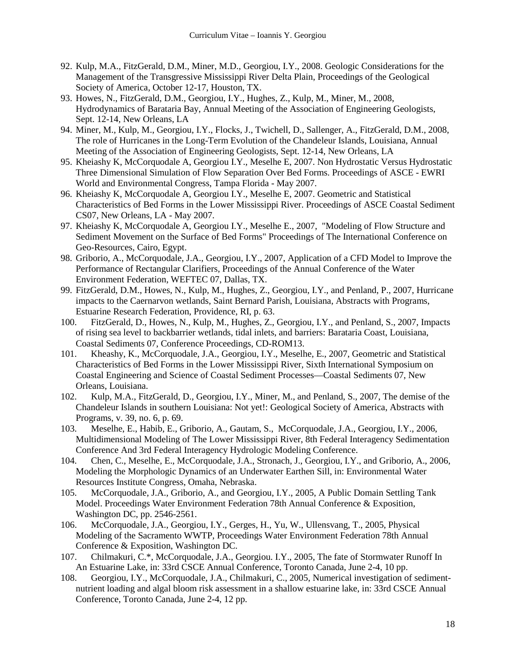- 92. Kulp, M.A., FitzGerald, D.M., Miner, M.D., Georgiou, I.Y., 2008. Geologic Considerations for the Management of the Transgressive Mississippi River Delta Plain, Proceedings of the Geological Society of America, October 12-17, Houston, TX.
- 93. Howes, N., FitzGerald, D.M., Georgiou, I.Y., Hughes, Z., Kulp, M., Miner, M., 2008, Hydrodynamics of Barataria Bay, Annual Meeting of the Association of Engineering Geologists, Sept. 12-14, New Orleans, LA
- 94. Miner, M., Kulp, M., Georgiou, I.Y., Flocks, J., Twichell, D., Sallenger, A., FitzGerald, D.M., 2008, The role of Hurricanes in the Long-Term Evolution of the Chandeleur Islands, Louisiana, Annual Meeting of the Association of Engineering Geologists, Sept. 12-14, New Orleans, LA
- 95. Kheiashy K, McCorquodale A, Georgiou I.Y., Meselhe E, 2007. Non Hydrostatic Versus Hydrostatic Three Dimensional Simulation of Flow Separation Over Bed Forms. Proceedings of ASCE - EWRI World and Environmental Congress, Tampa Florida - May 2007.
- 96. Kheiashy K, McCorquodale A, Georgiou I.Y., Meselhe E, 2007. Geometric and Statistical Characteristics of Bed Forms in the Lower Mississippi River. Proceedings of ASCE Coastal Sediment CS07, New Orleans, LA - May 2007.
- 97. Kheiashy K, McCorquodale A, Georgiou I.Y., Meselhe E., 2007, "Modeling of Flow Structure and Sediment Movement on the Surface of Bed Forms" Proceedings of The International Conference on Geo-Resources, Cairo, Egypt.
- 98. Griborio, A., McCorquodale, J.A., Georgiou, I.Y., 2007, Application of a CFD Model to Improve the Performance of Rectangular Clarifiers, Proceedings of the Annual Conference of the Water Environment Federation, WEFTEC 07, Dallas, TX.
- 99. FitzGerald, D.M., Howes, N., Kulp, M., Hughes, Z., Georgiou, I.Y., and Penland, P., 2007, Hurricane impacts to the Caernarvon wetlands, Saint Bernard Parish, Louisiana, Abstracts with Programs, Estuarine Research Federation, Providence, RI, p. 63.
- 100. FitzGerald, D., Howes, N., Kulp, M., Hughes, Z., Georgiou, I.Y., and Penland, S., 2007, Impacts of rising sea level to backbarrier wetlands, tidal inlets, and barriers: Barataria Coast, Louisiana, Coastal Sediments 07, Conference Proceedings, CD-ROM13.
- 101. Kheashy, K., McCorquodale, J.A., Georgiou, I.Y., Meselhe, E., 2007, Geometric and Statistical Characteristics of Bed Forms in the Lower Mississippi River, Sixth International Symposium on Coastal Engineering and Science of Coastal Sediment Processes—Coastal Sediments 07, New Orleans, Louisiana.
- 102. Kulp, M.A., FitzGerald, D., Georgiou, I.Y., Miner, M., and Penland, S., 2007, The demise of the Chandeleur Islands in southern Louisiana: Not yet!: Geological Society of America, Abstracts with Programs, v. 39, no. 6, p. 69.
- 103. Meselhe, E., Habib, E., Griborio, A., Gautam, S., McCorquodale, J.A., Georgiou, I.Y., 2006, Multidimensional Modeling of The Lower Mississippi River, 8th Federal Interagency Sedimentation Conference And 3rd Federal Interagency Hydrologic Modeling Conference.
- 104. Chen, C., Meselhe, E., McCorquodale, J.A., Stronach, J., Georgiou, I.Y., and Griborio, A., 2006, Modeling the Morphologic Dynamics of an Underwater Earthen Sill, in: Environmental Water Resources Institute Congress, Omaha, Nebraska.
- 105. McCorquodale, J.A., Griborio, A., and Georgiou, I.Y., 2005, A Public Domain Settling Tank Model. Proceedings Water Environment Federation 78th Annual Conference & Exposition, Washington DC, pp. 2546-2561.
- 106. McCorquodale, J.A., Georgiou, I.Y., Gerges, H., Yu, W., Ullensvang, T., 2005, Physical Modeling of the Sacramento WWTP, Proceedings Water Environment Federation 78th Annual Conference & Exposition, Washington DC.
- 107. Chilmakuri, C.\*, McCorquodale, J.A., Georgiou. I.Y., 2005, The fate of Stormwater Runoff In An Estuarine Lake, in: 33rd CSCE Annual Conference, Toronto Canada, June 2-4, 10 pp.
- 108. Georgiou, I.Y., McCorquodale, J.A., Chilmakuri, C., 2005, Numerical investigation of sedimentnutrient loading and algal bloom risk assessment in a shallow estuarine lake, in: 33rd CSCE Annual Conference, Toronto Canada, June 2-4, 12 pp.